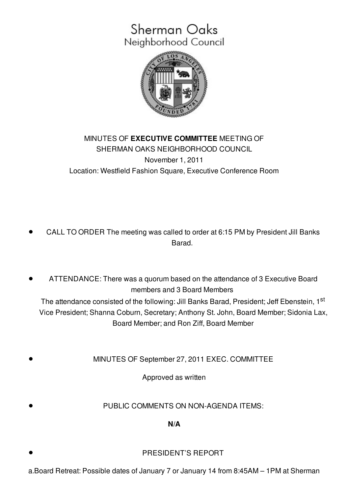## Sherman Oaks Neighborhood Council



## MINUTES OF **EXECUTIVE COMMITTEE** MEETING OF SHERMAN OAKS NEIGHBORHOOD COUNCIL November 1, 2011 Location: Westfield Fashion Square, Executive Conference Room

- CALL TO ORDER The meeting was called to order at 6:15 PM by President Jill Banks Barad.
- ATTENDANCE: There was a quorum based on the attendance of 3 Executive Board members and 3 Board Members The attendance consisted of the following: Jill Banks Barad, President; Jeff Ebenstein, 1<sup>st</sup> Vice President; Shanna Coburn, Secretary; Anthony St. John, Board Member; Sidonia Lax,

Board Member; and Ron Ziff, Board Member

MINUTES OF September 27, 2011 EXEC. COMMITTEE

Approved as written

PUBLIC COMMENTS ON NON-AGENDA ITEMS:

**N/A**

- PRESIDENT'S REPORT
- a.Board Retreat: Possible dates of January 7 or January 14 from 8:45AM 1PM at Sherman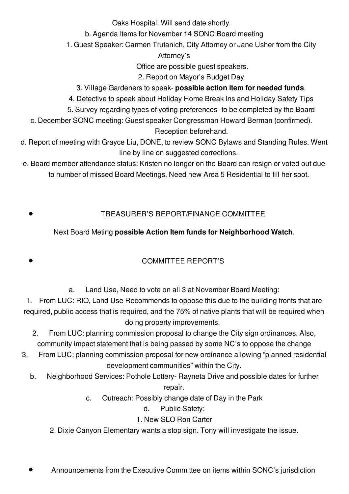Oaks Hospital. Will send date shortly.

b. Agenda Items for November 14 SONC Board meeting

1. Guest Speaker: Carmen Trutanich, City Attorney or Jane Usher from the City

Attorney's

Office are possible guest speakers.

2. Report on Mayor's Budget Day

- 3. Village Gardeners to speak- **possible action item for needed funds**.
- 4. Detective to speak about Holiday Home Break Ins and Holiday Safety Tips
- 5. Survey regarding types of voting preferences- to be completed by the Board
- c. December SONC meeting: Guest speaker Congressman Howard Berman (confirmed).

Reception beforehand.

- d. Report of meeting with Grayce Liu, DONE, to review SONC Bylaws and Standing Rules. Went line by line on suggested corrections.
- e. Board member attendance status: Kristen no longer on the Board can resign or voted out due to number of missed Board Meetings. Need new Area 5 Residential to fill her spot.
	- TREASURER'S REPORT/FINANCE COMMITTEE

## Next Board Meting **possible Action Item funds for Neighborhood Watch**.

## COMMITTEE REPORT'S

a. Land Use, Need to vote on all 3 at November Board Meeting:

1. From LUC: RIO, Land Use Recommends to oppose this due to the building fronts that are required, public access that is required, and the 75% of native plants that will be required when doing property improvements.

- 2. From LUC: planning commission proposal to change the City sign ordinances. Also, community impact statement that is being passed by some NC's to oppose the change
- 3. From LUC: planning commission proposal for new ordinance allowing "planned residential development communities" within the City.
	- b. Neighborhood Services: Pothole Lottery- Rayneta Drive and possible dates for further repair.
		- c. Outreach: Possibly change date of Day in the Park
			- d. Public Safety:
			- 1. New SLO Ron Carter
		- 2. Dixie Canyon Elementary wants a stop sign. Tony will investigate the issue.